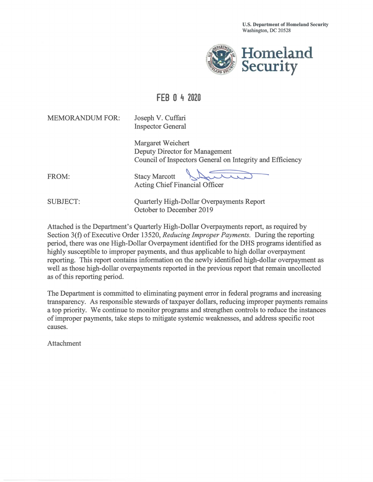

# **FEB O 4 2020**

MEMORANDUM FOR:

Joseph V. Cuffari Inspector General

Margaret Weichert Deputy Director for Management

Council of Inspectors General on Integrity and Efficiency<br>
Stacy Marcott<br>
Acting Chief Financial Officer FROM: Stacy Marcott Acting Chief Financial Officer

SUBJECT: Quarterly High-Dollar Overpayments Report October to December 2019

Attached is the Department's Quarterly High-Dollar Overpayments report, as required by Section 3(f) of Executive Order 13520, *Reducing Improper Payments.* During the reporting period, there was one High-Dollar Overpayment identified for the DHS programs identified as highly susceptible to improper payments, and thus applicable to high dollar overpayment reporting. This report contains information on the newly identified high-dollar overpayment as well as those high-dollar overpayments reported in the previous report that remain uncollected as of this reporting period.

The Department is committed to eliminating payment error in federal programs and increasing transparency. As responsible stewards of taxpayer dollars, reducing improper payments remains a top priority. We continue to monitor programs and strengthen controls to reduce the instances of improper payments, take steps to mitigate systemic weaknesses, and address specific root causes.

Attachment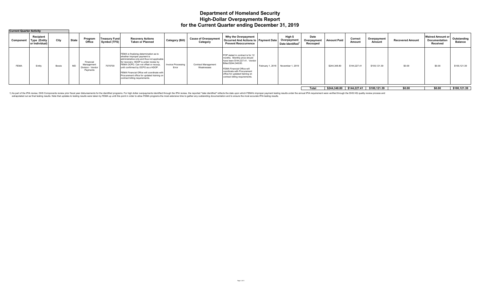#### **Department of Homeland Security High-Dollar Overpayments Report for the Current Quarter ending December 31, 2019**

| <b>Current Quarter Activity</b> |                                                    |       |       |                                                          |                                      |                                                                                                                                                                                                                                                                                                                                                                           |                                    |                                          |                                                                                                                                                                                                                                                              |                                           |                                 |                    |                   |                       |                         |                                                      |                        |
|---------------------------------|----------------------------------------------------|-------|-------|----------------------------------------------------------|--------------------------------------|---------------------------------------------------------------------------------------------------------------------------------------------------------------------------------------------------------------------------------------------------------------------------------------------------------------------------------------------------------------------------|------------------------------------|------------------------------------------|--------------------------------------------------------------------------------------------------------------------------------------------------------------------------------------------------------------------------------------------------------------|-------------------------------------------|---------------------------------|--------------------|-------------------|-----------------------|-------------------------|------------------------------------------------------|------------------------|
| Component                       | Recipient<br><b>Type (Entity</b><br>or Individual) | City  | State | Program<br>Office                                        | <b>Treasury Fund</b><br>Symbol (TFS) | <b>Recovery Actions</b><br><b>Taken or Planned</b>                                                                                                                                                                                                                                                                                                                        | <b>Category (Bill)</b>             | <b>Cause of Overpayment</b><br>Category  | Why the Overpayment<br><b>Occurred And Actions to Payment Date</b><br><b>Prevent Reoccurrence</b>                                                                                                                                                            | High \$<br>Overpayment<br>Date Identified | Date<br>Overpayment<br>Recouped | <b>Amount Paid</b> | Correct<br>Amount | Overpayment<br>Amount | <b>Recovered Amount</b> | <b>Waived Amount or</b><br>Documentation<br>Received | Outstanding<br>Balance |
| FEMA                            | Entity                                             | Bowie | MD    | Financial<br>Management<br>Division - Vendor<br>Payments | 7070700                              | FEMA is finalizing determination as to<br>whether improper payment is<br>administrative only and thus not applicable<br>for recovery. HDOP is under review by<br>FEMA OCPO. Can not offset or recoup,<br>until confirmed by OCPO as a HDOP.<br>FEMA Financial Office will coordinate with<br>Procurement office for updated training on<br>contract billing requirements. | <b>Invoice Processing</b><br>Error | <b>Contract Management</b><br>Weaknesses | POP stated in contract is for 12<br>months. Monthly price should<br>have been \$144,227.41. Vendor<br>Billed \$244,348.80.<br>FFMA Financial Office will<br>Icoordinate with Procurement<br>office for updated training on<br>contract billing requirements. | February 1, 2018 November 1, 2019         |                                 | \$244,348.80       | \$144,227.41      | \$100,121.39          | \$0.00                  | \$0.00                                               | \$100,121.39           |
|                                 |                                                    |       |       |                                                          |                                      |                                                                                                                                                                                                                                                                                                                                                                           |                                    |                                          |                                                                                                                                                                                                                                                              |                                           |                                 |                    |                   |                       | AA                      | $\sim$                                               |                        |

**Total \$244,348.80 \$144,227.41 \$100,121.39 \$0.00 \$0.00 \$100,121.39**  $\mathbf{I}$ 

1) As part of the IPM review, DHS INNOT for the all operator in the distribution the intentified programs. For high dollar overpayments identified through the DHS HO quality review process and experiment in the IPMA review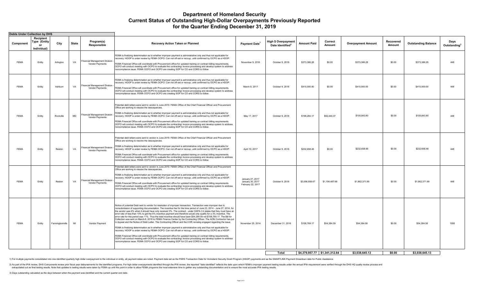#### **Department of Homeland Security Current Status of Outstanding High-Dollar Overpayments Previously Reported for the Quarter Ending December 31, 2019**

| <b>Debts Under Collection by DHS</b> |                                                |                 |              |                                                  |                                                                                                                                                                                                                                                                                                                                                                                                                                                                                                                                                                                                                                                                                                                                                                                                                                                                                                                                                                                                                                                                                                                                                                                                                                                                                                                                                                                                                                         |                                                           |                                                            |                               |                   |                           |                            |                            |                                  |
|--------------------------------------|------------------------------------------------|-----------------|--------------|--------------------------------------------------|-----------------------------------------------------------------------------------------------------------------------------------------------------------------------------------------------------------------------------------------------------------------------------------------------------------------------------------------------------------------------------------------------------------------------------------------------------------------------------------------------------------------------------------------------------------------------------------------------------------------------------------------------------------------------------------------------------------------------------------------------------------------------------------------------------------------------------------------------------------------------------------------------------------------------------------------------------------------------------------------------------------------------------------------------------------------------------------------------------------------------------------------------------------------------------------------------------------------------------------------------------------------------------------------------------------------------------------------------------------------------------------------------------------------------------------------|-----------------------------------------------------------|------------------------------------------------------------|-------------------------------|-------------------|---------------------------|----------------------------|----------------------------|----------------------------------|
| Component                            | Recipient<br>Type (Entity<br>or<br>Individual) | City            | <b>State</b> | Program(s)<br>Responsible                        | Recovery Action Taken or Planned                                                                                                                                                                                                                                                                                                                                                                                                                                                                                                                                                                                                                                                                                                                                                                                                                                                                                                                                                                                                                                                                                                                                                                                                                                                                                                                                                                                                        | Payment Date <sup>1</sup>                                 | <b>High \$ Overpayment</b><br>Date Identified <sup>2</sup> | <b>Amount Paid</b>            | Correct<br>Amount | <b>Overpayment Amount</b> | <b>Recovered</b><br>Amount | <b>Outstanding Balance</b> | Days<br>Outstanding <sup>3</sup> |
| <b>FEMA</b>                          | Entity                                         | Arlington       | VA           | Financial Management Division<br>Vendor Payments | FEMA is finalizing determination as to whether improper payment is administrative only and thus not applicable for<br>recovery. HDOP is under review by FEMA OCPO. Can not off-set or recoup, until confirmed by OCPO as a HDOP.<br>FEMA Financial Office will coordinate with Procurement office for updated training on contract billing requirements.<br>OCFO will conduct meeting with OCPO to evaluate the contracting/ invoice processing and develop system to address<br>noncompliance issue. FEMA OCFO and OCPO are creating SOP for CO and CORS to follow.                                                                                                                                                                                                                                                                                                                                                                                                                                                                                                                                                                                                                                                                                                                                                                                                                                                                    | November 9, 2016                                          | October 9, 2018                                            | \$373,386,28                  | \$0.00            | \$373,386,28              | \$0.00                     | \$373,386.28               | 448                              |
| <b>FEMA</b>                          | Entity                                         | Ashburn         | VA           | Financial Management Division<br>Vendor Payments | FEMA is finalizing determination as to whether improper payment is administrative only and thus not applicable for<br>recovery. HDOP is under review by FEMA OCPO. Can not off-set or recoup, until confirmed by OCPO as a HDOP.<br>FEMA Financial Office will coordinate with Procurement office for updated training on contract billing requirements.<br>OCFO will conduct meeting with OCPO to evaluate the contracting/ invoice processing and develop system to address<br>noncompliance issue. FEMA OCFO and OCPO are creating SOP for CO and CORS to follow.                                                                                                                                                                                                                                                                                                                                                                                                                                                                                                                                                                                                                                                                                                                                                                                                                                                                    | March 9, 2017                                             | October 9, 2018                                            | \$410,000.00                  | \$0.00            | \$410,000.00              | \$0.00                     | \$410,000.00               | 448                              |
| <b>FEMA</b>                          | Entity                                         | Rockville       | <b>MD</b>    | Financial Management Division<br>Vendor Payments | Potential debt letters were sent to vendor in June 2019. FEMA Office of the Chief Financial Officer and Procurement<br>Office are working to resolve the descepancies.<br>FEMA is finalizing determination as to whether improper payment is administrative only and thus not applicable for<br>recovery. HDOP is under review by FEMA OCPO. Can not off-set or recoup, until confirmed by OCPO as a HDOP.<br>FEMA Financial Office will coordinate with Procurement office for updated training on contract billing requirements.<br>OCFO will conduct meeting with OCPO to evaluate the contracting/ invoice processing and develop system to address<br>noncompliance issue. FEMA OCFO and OCPO are creating SOP for CO and CORS to follow.                                                                                                                                                                                                                                                                                                                                                                                                                                                                                                                                                                                                                                                                                          | May 17, 2017                                              | October 9, 2018                                            | \$198,284.17                  | \$92,440.37       | \$105,843.80              | \$0.00                     | \$105,843.80               | 448                              |
| <b>FEMA</b>                          | Entity                                         | Reston          | VA           | Financial Management Division<br>Vendor Payments | Potential debt letters were sent to vendor in June 2019. FEMA Office of the Chief Financial Officer and Procurement<br>Office are working to resolve the descepancies.<br>FEMA is finalizing determination as to whether improper payment is administrative only and thus not applicable for<br>recovery. HDOP is under review by FEMA OCPO. Can not off-set or recoup, until confirmed by OCPO as a HDOP.<br>FEMA Financial Office will coordinate with Procurement office for updated training on contract billing requirements.<br>OCFO will conduct meeting with OCPO to evaluate the contracting/ invoice processing and develop system to address<br>noncompliance issue. FEMA OCFO and OCPO are creating SOP for CO and CORS to follow.                                                                                                                                                                                                                                                                                                                                                                                                                                                                                                                                                                                                                                                                                          | April 19, 2017                                            | October 9, 2018                                            | \$232,658.48                  | \$0.00            | \$232,658.48              | \$0.00                     | \$232,658.48               | 448                              |
| <b>FEMA</b>                          | Entity                                         | Reston          | VA           | Financial Management Division<br>Vendor Payments | Potential debt letters were sent to vendor in June 2019. FEMA Office of the Chief Financial Officer and Procurement<br>Office are working to resolve the descepancies.<br>FEMA is finalizing determination as to whether improper payment is administrative only and thus not applicable for<br>ecovery. HDOP is under review by FEMA OCPO. Can not off-set or recoup, until confirmed by OCPO as a HDOP.<br>FEMA Financial Office will coordinate with Procurement office for updated training on contract billing requirements.<br>OCFO will conduct meeting with OCPO to evaluate the contracting/ invoice processing and develop system to address<br>noncompliance issue. FEMA OCFO and OCPO are creating SOP for CO and CORS to follow.                                                                                                                                                                                                                                                                                                                                                                                                                                                                                                                                                                                                                                                                                           | January 27, 2017<br>January 30, 2017<br>February 22, 2017 | October 9, 2018                                            | \$3,056,859.67                | \$1,194,487.68    | \$1,862,371.99            | \$0.00                     | \$1,862,371.99             | 448                              |
| FEMA                                 | Entity                                         | Farmingtonmills | MI           | Vendor Payment                                   | Notice of potential Debt sent to vendor for resolution of improper transaction. Transaction was improper due to<br>nonsubmission of supporting documentation. The incentive fee for the time period of June 23, 2014 - June 27, 2014, for<br>the vendor was 6% when it should have only received 3%. The contract, under SSPA-3 it states that they must have an<br>error rate of less than 10% to get the 6% incentive payment and therefore would only qualify for a 3% incentive. The<br>error rate for this period was 11%. Thus the total incentive should have been \$54,384.59 not \$108,769.17. The Bill for<br>Collection was sent on March 8, 2018 to FEMA Finance Center by the Contracting Officer. The AON Contractor has put<br>in Appeal and the Notice of Debt Letter. The Contracting Officer and the COR remaing engaged regarding the issue.<br>FEMA is finalizing determination as to whether improper payment is administrative only and thus not applicable for<br>recovery. HDOP is under review by FEMA OCPO. Can not off-set or recoup, until confirmed by OCPO as a HDOP.<br>FEMA Financial Office will coordinate with Procurement office for updated training on contract billing requirements.<br>OCFO will conduct meeting with OCPO to evaluate the contracting/ invoice processing and develop system to address<br>noncompliance issue. FEMA OCFO and OCPO are creating SOP for CO and CORS to follow. | November 25, 2014                                         | December 31, 2016                                          | \$108,769.17                  | \$54,384.59       | \$54,384.58               | \$0.00                     | \$54,384.58                | 1095                             |
|                                      |                                                |                 |              |                                                  |                                                                                                                                                                                                                                                                                                                                                                                                                                                                                                                                                                                                                                                                                                                                                                                                                                                                                                                                                                                                                                                                                                                                                                                                                                                                                                                                                                                                                                         |                                                           | Total                                                      | \$4.379.957.77 \$1.341.312.64 |                   | \$3.038.645.13            | \$0.00                     | \$3.038.645.13             |                                  |

1) For multiple payments consolidated into one identified quarterly high dollar overpayment to the individual or entity, all payment dates are noted. Payment dates est he PARS Transaction Date for Homeland Security Grant P

2) As part of the IPM review, DHS how the mail of the desired and isolution the contribution of the interprement in the indial or our substance in the indial method in the index of the index of the index of the indextents

3) Days outstanding calculated as the days between when the payment was identified and the current quarter end date.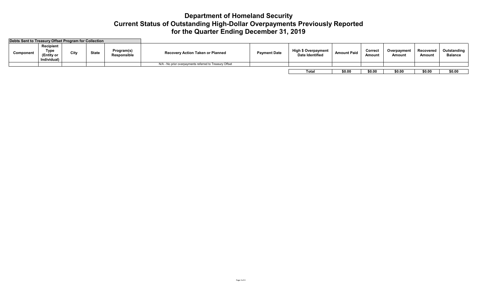## **Department of Homeland Security Current Status of Outstanding High-Dollar Overpayments Previously Reported for the Quarter Ending December 31, 2019**

| Debts Sent to Treasury Offset Program for Collection |                                                |      |              |                           |                                                         |                     |                                                      |                    |                   |                       |                     |                               |
|------------------------------------------------------|------------------------------------------------|------|--------------|---------------------------|---------------------------------------------------------|---------------------|------------------------------------------------------|--------------------|-------------------|-----------------------|---------------------|-------------------------------|
| Component                                            | Recipient<br>Type<br>(Entity or<br>Individual) | City | <b>State</b> | Program(s)<br>Responsible | <b>Recovery Action Taken or Planned</b>                 | <b>Payment Date</b> | <b>High \$ Overpayment</b><br><b>Date Identified</b> | <b>Amount Paid</b> | Correct<br>Amount | Overpayment<br>Amount | Recovered<br>Amounf | Outstanding<br><b>Balance</b> |
|                                                      |                                                |      |              |                           | N/A - No prior overpayments referred to Treasury Offset |                     |                                                      |                    |                   |                       |                     |                               |
|                                                      |                                                |      |              |                           |                                                         |                     |                                                      |                    |                   |                       |                     |                               |
|                                                      |                                                |      |              |                           |                                                         |                     | <b>Total</b>                                         | \$0.00             | \$0.00            | \$0.00                | \$0.00              | \$0.00                        |